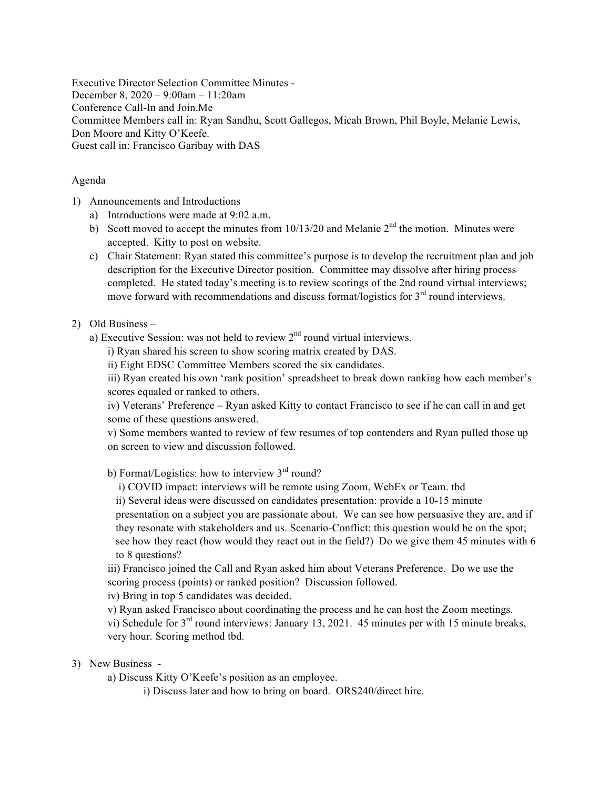Executive Director Selection Committee Minutes - December 8, 2020 – 9:00am – 11:20am Conference Call-In and Join.Me Committee Members call in: Ryan Sandhu, Scott Gallegos, Micah Brown, Phil Boyle, Melanie Lewis, Don Moore and Kitty O'Keefe. Guest call in: Francisco Garibay with DAS

## Agenda

- 1) Announcements and Introductions
	- a) Introductions were made at 9:02 a.m.
	- b) Scott moved to accept the minutes from  $10/13/20$  and Melanie  $2<sup>nd</sup>$  the motion. Minutes were accepted. Kitty to post on website.
	- c) Chair Statement: Ryan stated this committee's purpose is to develop the recruitment plan and job description for the Executive Director position. Committee may dissolve after hiring process completed. He stated today's meeting is to review scorings of the 2nd round virtual interviews; move forward with recommendations and discuss format/logistics for  $3<sup>rd</sup>$  round interviews.

## 2) Old Business –

- a) Executive Session: was not held to review  $2<sup>nd</sup>$  round virtual interviews.
	- i) Ryan shared his screen to show scoring matrix created by DAS.
	- ii) Eight EDSC Committee Members scored the six candidates.

iii) Ryan created his own 'rank position' spreadsheet to break down ranking how each member's scores equaled or ranked to others.

iv) Veterans' Preference – Ryan asked Kitty to contact Francisco to see if he can call in and get some of these questions answered.

v) Some members wanted to review of few resumes of top contenders and Ryan pulled those up on screen to view and discussion followed.

b) Format/Logistics: how to interview  $3<sup>rd</sup>$  round?

i) COVID impact: interviews will be remote using Zoom, WebEx or Team. tbd

ii) Several ideas were discussed on candidates presentation: provide a 10-15 minute

 presentation on a subject you are passionate about. We can see how persuasive they are, and if they resonate with stakeholders and us. Scenario-Conflict: this question would be on the spot; see how they react (how would they react out in the field?) Do we give them 45 minutes with 6 to 8 questions?

iii) Francisco joined the Call and Ryan asked him about Veterans Preference. Do we use the scoring process (points) or ranked position? Discussion followed.

iv) Bring in top 5 candidates was decided.

v) Ryan asked Francisco about coordinating the process and he can host the Zoom meetings.

vi) Schedule for  $3<sup>rd</sup>$  round interviews: January 13, 2021. 45 minutes per with 15 minute breaks, very hour. Scoring method tbd.

## 3) New Business -

a) Discuss Kitty O'Keefe's position as an employee.

i) Discuss later and how to bring on board. ORS240/direct hire.